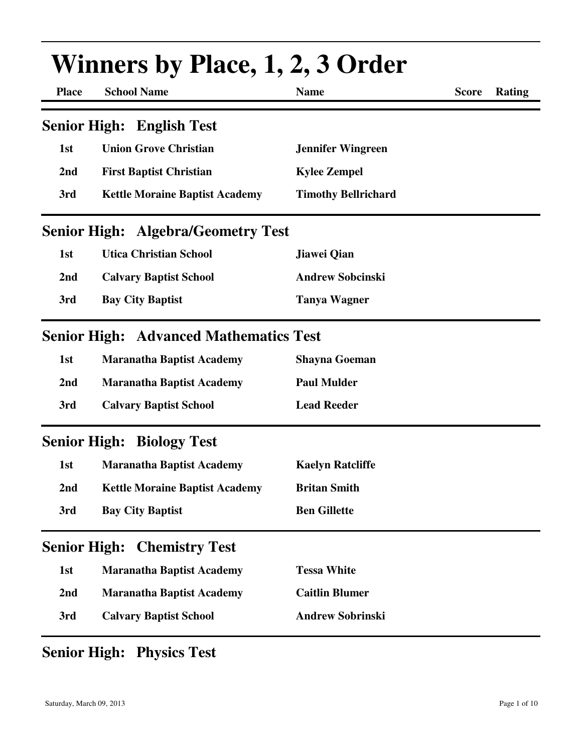| <b>Place</b>        | <b>Winners by Place, 1, 2, 3 Order</b><br><b>School Name</b><br><b>Name</b><br><b>Score</b><br>Rating |                            |  |  |  |  |
|---------------------|-------------------------------------------------------------------------------------------------------|----------------------------|--|--|--|--|
|                     |                                                                                                       |                            |  |  |  |  |
|                     | <b>Senior High: English Test</b>                                                                      |                            |  |  |  |  |
| 1st                 | <b>Union Grove Christian</b>                                                                          | <b>Jennifer Wingreen</b>   |  |  |  |  |
| 2nd                 | <b>First Baptist Christian</b>                                                                        | <b>Kylee Zempel</b>        |  |  |  |  |
| 3rd                 | <b>Kettle Moraine Baptist Academy</b>                                                                 | <b>Timothy Bellrichard</b> |  |  |  |  |
|                     | <b>Senior High: Algebra/Geometry Test</b>                                                             |                            |  |  |  |  |
| 1st                 | <b>Utica Christian School</b>                                                                         | Jiawei Qian                |  |  |  |  |
| 2nd                 | <b>Calvary Baptist School</b>                                                                         | <b>Andrew Sobcinski</b>    |  |  |  |  |
| 3rd                 | <b>Bay City Baptist</b>                                                                               | <b>Tanya Wagner</b>        |  |  |  |  |
|                     | <b>Senior High: Advanced Mathematics Test</b>                                                         |                            |  |  |  |  |
| 1st                 | <b>Maranatha Baptist Academy</b>                                                                      | <b>Shayna Goeman</b>       |  |  |  |  |
| 2nd                 | <b>Maranatha Baptist Academy</b>                                                                      | <b>Paul Mulder</b>         |  |  |  |  |
| 3rd                 | <b>Calvary Baptist School</b>                                                                         | <b>Lead Reeder</b>         |  |  |  |  |
|                     | <b>Senior High: Biology Test</b>                                                                      |                            |  |  |  |  |
| 1st                 | <b>Maranatha Baptist Academy</b>                                                                      | <b>Kaelyn Ratcliffe</b>    |  |  |  |  |
| 2nd                 | <b>Kettle Moraine Baptist Academy</b>                                                                 | <b>Britan Smith</b>        |  |  |  |  |
| 3rd                 | <b>Bay City Baptist</b>                                                                               | <b>Ben Gillette</b>        |  |  |  |  |
| <b>Senior High:</b> | <b>Chemistry Test</b>                                                                                 |                            |  |  |  |  |
| 1st                 | <b>Maranatha Baptist Academy</b>                                                                      | <b>Tessa White</b>         |  |  |  |  |
| 2nd                 | <b>Maranatha Baptist Academy</b>                                                                      | <b>Caitlin Blumer</b>      |  |  |  |  |
| 3rd                 | <b>Calvary Baptist School</b>                                                                         | <b>Andrew Sobrinski</b>    |  |  |  |  |

### **Senior High: Physics Test**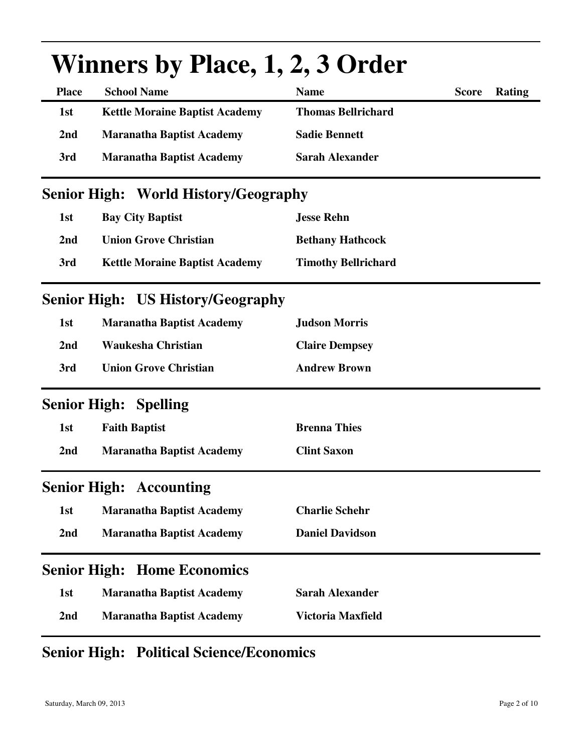|                     | $\mathbf{v}$ initials by Thace, I, $\mathbf{z}$ , $\mathbf{v}$ of the $\mathbf{u}$ |                            |              |               |
|---------------------|------------------------------------------------------------------------------------|----------------------------|--------------|---------------|
| <b>Place</b>        | <b>School Name</b>                                                                 | <b>Name</b>                | <b>Score</b> | <b>Rating</b> |
| 1st                 | <b>Kettle Moraine Baptist Academy</b>                                              | <b>Thomas Bellrichard</b>  |              |               |
| 2nd                 | <b>Maranatha Baptist Academy</b>                                                   | <b>Sadie Bennett</b>       |              |               |
| 3rd                 | <b>Maranatha Baptist Academy</b>                                                   | <b>Sarah Alexander</b>     |              |               |
|                     | <b>Senior High: World History/Geography</b>                                        |                            |              |               |
| 1st                 | <b>Bay City Baptist</b>                                                            | <b>Jesse Rehn</b>          |              |               |
| 2nd                 | <b>Union Grove Christian</b>                                                       | <b>Bethany Hathcock</b>    |              |               |
| 3rd                 | <b>Kettle Moraine Baptist Academy</b>                                              | <b>Timothy Bellrichard</b> |              |               |
|                     | <b>Senior High: US History/Geography</b>                                           |                            |              |               |
| 1st                 | <b>Maranatha Baptist Academy</b>                                                   | <b>Judson Morris</b>       |              |               |
| 2nd                 | <b>Waukesha Christian</b>                                                          | <b>Claire Dempsey</b>      |              |               |
| 3rd                 | <b>Union Grove Christian</b>                                                       | <b>Andrew Brown</b>        |              |               |
| <b>Senior High:</b> | <b>Spelling</b>                                                                    |                            |              |               |
| 1st                 | <b>Faith Baptist</b>                                                               | <b>Brenna Thies</b>        |              |               |
| 2nd                 | <b>Maranatha Baptist Academy</b>                                                   | <b>Clint Saxon</b>         |              |               |
| <b>Senior High:</b> | <b>Accounting</b>                                                                  |                            |              |               |
| 1st                 | <b>Maranatha Baptist Academy</b>                                                   | <b>Charlie Schehr</b>      |              |               |
| 2 <sub>nd</sub>     | <b>Maranatha Baptist Academy</b>                                                   | <b>Daniel Davidson</b>     |              |               |
| <b>Senior High:</b> | <b>Home Economics</b>                                                              |                            |              |               |
| 1st                 | <b>Maranatha Baptist Academy</b>                                                   | <b>Sarah Alexander</b>     |              |               |
| 2 <sub>nd</sub>     | <b>Maranatha Baptist Academy</b>                                                   | Victoria Maxfield          |              |               |

# Winners by Place, 1, 2, 3 Order

### **Senior High: Political Science/Economics**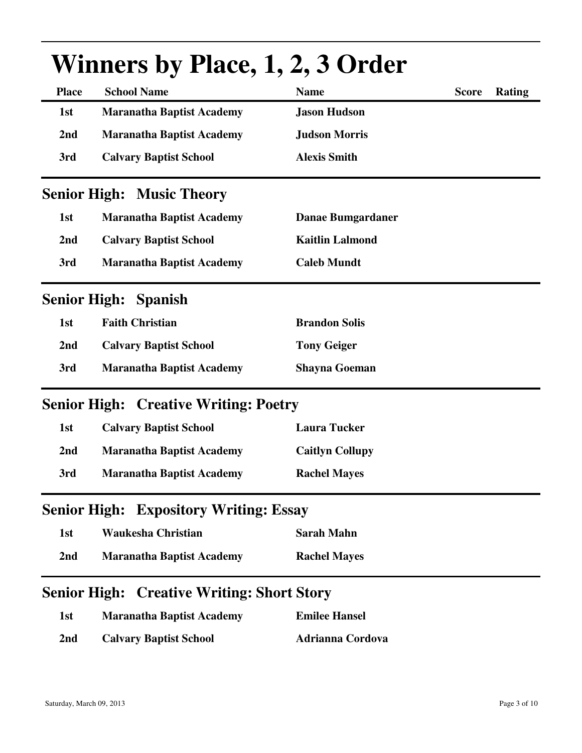|                     | $\mathbf{v}$ minute by Thurs 1, $\mathbf{u}$ , $\mathbf{v}$ and $\mathbf{v}$ |                          |              |               |
|---------------------|------------------------------------------------------------------------------|--------------------------|--------------|---------------|
| <b>Place</b>        | <b>School Name</b>                                                           | <b>Name</b>              | <b>Score</b> | <b>Rating</b> |
| 1st                 | <b>Maranatha Baptist Academy</b>                                             | <b>Jason Hudson</b>      |              |               |
| 2nd                 | <b>Maranatha Baptist Academy</b>                                             | <b>Judson Morris</b>     |              |               |
| 3rd                 | <b>Calvary Baptist School</b>                                                | <b>Alexis Smith</b>      |              |               |
|                     | <b>Senior High: Music Theory</b>                                             |                          |              |               |
| 1st                 | <b>Maranatha Baptist Academy</b>                                             | <b>Danae Bumgardaner</b> |              |               |
| 2nd                 | <b>Calvary Baptist School</b>                                                | <b>Kaitlin Lalmond</b>   |              |               |
| 3rd                 | <b>Maranatha Baptist Academy</b>                                             | <b>Caleb Mundt</b>       |              |               |
| <b>Senior High:</b> | <b>Spanish</b>                                                               |                          |              |               |
| 1st                 | <b>Faith Christian</b>                                                       | <b>Brandon Solis</b>     |              |               |
| 2nd                 | <b>Calvary Baptist School</b>                                                | <b>Tony Geiger</b>       |              |               |
| 3rd                 | <b>Maranatha Baptist Academy</b>                                             | <b>Shayna Goeman</b>     |              |               |
|                     | <b>Senior High: Creative Writing: Poetry</b>                                 |                          |              |               |
| 1st                 | <b>Calvary Baptist School</b>                                                | <b>Laura Tucker</b>      |              |               |
| 2nd                 | <b>Maranatha Baptist Academy</b>                                             | <b>Caitlyn Collupy</b>   |              |               |
| 3rd                 | <b>Maranatha Baptist Academy</b>                                             | <b>Rachel Mayes</b>      |              |               |
|                     | <b>Senior High: Expository Writing: Essay</b>                                |                          |              |               |
| 1st                 | <b>Waukesha Christian</b>                                                    | <b>Sarah Mahn</b>        |              |               |
| 2nd                 | <b>Maranatha Baptist Academy</b>                                             | <b>Rachel Mayes</b>      |              |               |
|                     | <b>Senior High: Creative Writing: Short Story</b>                            |                          |              |               |
| 1st                 | <b>Maranatha Baptist Academy</b>                                             | <b>Emilee Hansel</b>     |              |               |
| 2nd                 | <b>Calvary Baptist School</b>                                                | <b>Adrianna Cordova</b>  |              |               |

# **Winners by Place, 1, 2, 3 Order**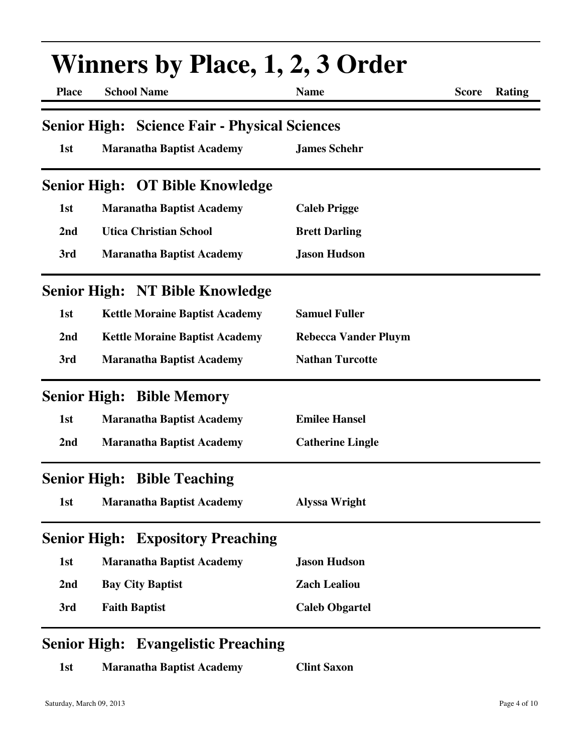|                     | <b>Winners by Place, 1, 2, 3 Order</b>               |                             |              |        |  |
|---------------------|------------------------------------------------------|-----------------------------|--------------|--------|--|
| <b>Place</b>        | <b>School Name</b>                                   | <b>Name</b>                 | <b>Score</b> | Rating |  |
|                     | <b>Senior High: Science Fair - Physical Sciences</b> |                             |              |        |  |
| 1st                 | <b>Maranatha Baptist Academy</b>                     | <b>James Schehr</b>         |              |        |  |
|                     | Senior High: OT Bible Knowledge                      |                             |              |        |  |
| 1st                 | <b>Maranatha Baptist Academy</b>                     | <b>Caleb Prigge</b>         |              |        |  |
| 2nd                 | <b>Utica Christian School</b>                        | <b>Brett Darling</b>        |              |        |  |
| 3rd                 | <b>Maranatha Baptist Academy</b>                     | <b>Jason Hudson</b>         |              |        |  |
|                     | <b>Senior High: NT Bible Knowledge</b>               |                             |              |        |  |
| 1st                 | <b>Kettle Moraine Baptist Academy</b>                | <b>Samuel Fuller</b>        |              |        |  |
| 2nd                 | <b>Kettle Moraine Baptist Academy</b>                | <b>Rebecca Vander Pluym</b> |              |        |  |
| 3rd                 | <b>Maranatha Baptist Academy</b>                     | <b>Nathan Turcotte</b>      |              |        |  |
| <b>Senior High:</b> | <b>Bible Memory</b>                                  |                             |              |        |  |
| 1st                 | <b>Maranatha Baptist Academy</b>                     | <b>Emilee Hansel</b>        |              |        |  |
| 2nd                 | <b>Maranatha Baptist Academy</b>                     | <b>Catherine Lingle</b>     |              |        |  |
|                     | <b>Senior High: Bible Teaching</b>                   |                             |              |        |  |
| 1st                 | <b>Maranatha Baptist Academy</b>                     | <b>Alyssa Wright</b>        |              |        |  |
| <b>Senior High:</b> | <b>Expository Preaching</b>                          |                             |              |        |  |
| 1st                 | <b>Maranatha Baptist Academy</b>                     | <b>Jason Hudson</b>         |              |        |  |
| 2nd                 | <b>Bay City Baptist</b>                              | <b>Zach Lealiou</b>         |              |        |  |
| 3rd                 | <b>Faith Baptist</b>                                 | <b>Caleb Obgartel</b>       |              |        |  |
|                     |                                                      |                             |              |        |  |

### **Senior High: Evangelistic Preaching**

**1st Maranatha Baptist Academy Clint Saxon**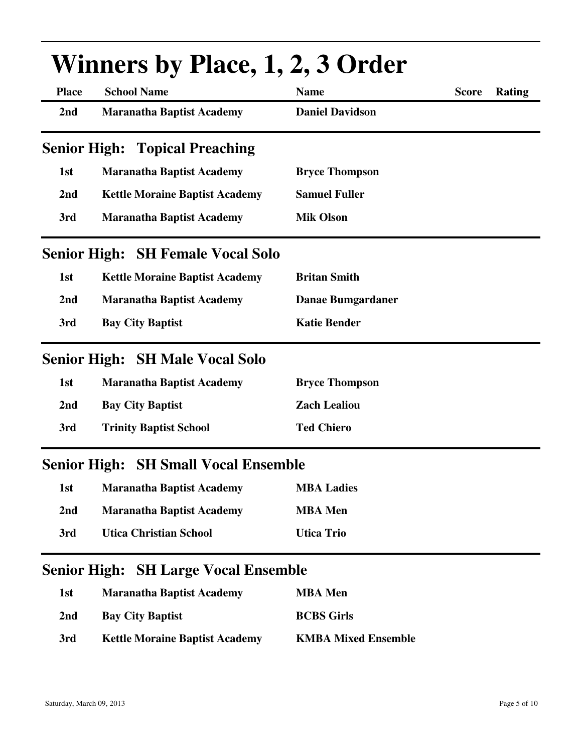|                     | <b>Winners by Place, 1, 2, 3 Order</b>      |                          |                        |  |  |
|---------------------|---------------------------------------------|--------------------------|------------------------|--|--|
| <b>Place</b>        | <b>School Name</b>                          | <b>Name</b>              | <b>Score</b><br>Rating |  |  |
| 2nd                 | <b>Maranatha Baptist Academy</b>            | <b>Daniel Davidson</b>   |                        |  |  |
|                     | <b>Senior High: Topical Preaching</b>       |                          |                        |  |  |
| 1st                 | <b>Maranatha Baptist Academy</b>            | <b>Bryce Thompson</b>    |                        |  |  |
| 2nd                 | <b>Kettle Moraine Baptist Academy</b>       | <b>Samuel Fuller</b>     |                        |  |  |
| 3rd                 | <b>Maranatha Baptist Academy</b>            | <b>Mik Olson</b>         |                        |  |  |
|                     | <b>Senior High: SH Female Vocal Solo</b>    |                          |                        |  |  |
| 1st                 | <b>Kettle Moraine Baptist Academy</b>       | <b>Britan Smith</b>      |                        |  |  |
| 2nd                 | <b>Maranatha Baptist Academy</b>            | <b>Danae Bumgardaner</b> |                        |  |  |
| 3rd                 | <b>Bay City Baptist</b>                     | <b>Katie Bender</b>      |                        |  |  |
|                     | <b>Senior High: SH Male Vocal Solo</b>      |                          |                        |  |  |
| 1st                 | <b>Maranatha Baptist Academy</b>            | <b>Bryce Thompson</b>    |                        |  |  |
| 2nd                 | <b>Bay City Baptist</b>                     | <b>Zach Lealiou</b>      |                        |  |  |
| 3rd                 | <b>Trinity Baptist School</b>               | <b>Ted Chiero</b>        |                        |  |  |
|                     | <b>Senior High: SH Small Vocal Ensemble</b> |                          |                        |  |  |
| 1st                 | <b>Maranatha Baptist Academy</b>            | <b>MBA Ladies</b>        |                        |  |  |
| 2nd                 | <b>Maranatha Baptist Academy</b>            | <b>MBA</b> Men           |                        |  |  |
| 3rd                 | <b>Utica Christian School</b>               | <b>Utica Trio</b>        |                        |  |  |
| <b>Senior High:</b> | <b>SH Large Vocal Ensemble</b>              |                          |                        |  |  |
| 1st                 | <b>Maranatha Baptist Academy</b>            | <b>MBA</b> Men           |                        |  |  |
| 2nd                 | <b>Bay City Baptist</b>                     | <b>BCBS Girls</b>        |                        |  |  |

#### **3rd Kettle Moraine Baptist Academy KMBA Mixed Ensemble**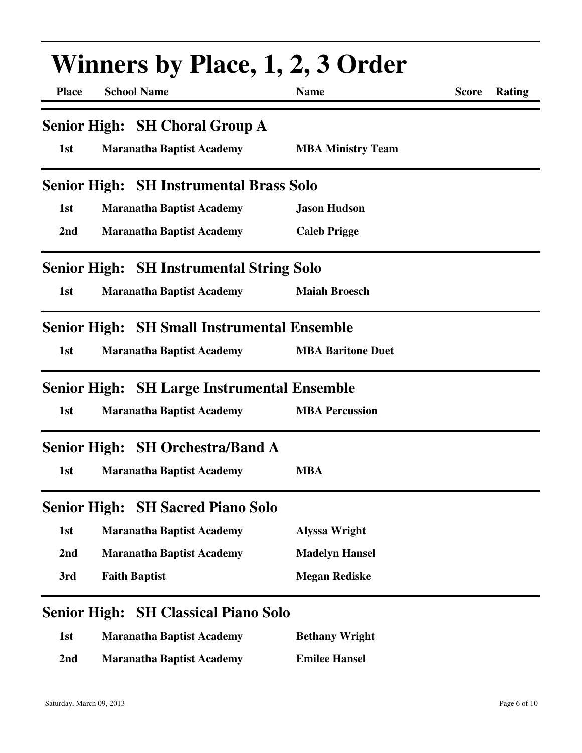|                     | <b>Winners by Place, 1, 2, 3 Order</b>             |                          |                        |  |  |
|---------------------|----------------------------------------------------|--------------------------|------------------------|--|--|
| <b>Place</b>        | <b>School Name</b>                                 | <b>Name</b>              | <b>Score</b><br>Rating |  |  |
|                     | <b>Senior High: SH Choral Group A</b>              |                          |                        |  |  |
| 1st                 | <b>Maranatha Baptist Academy</b>                   | <b>MBA Ministry Team</b> |                        |  |  |
|                     | <b>Senior High: SH Instrumental Brass Solo</b>     |                          |                        |  |  |
| 1st                 | <b>Maranatha Baptist Academy</b>                   | <b>Jason Hudson</b>      |                        |  |  |
| 2 <sub>nd</sub>     | <b>Maranatha Baptist Academy</b>                   | <b>Caleb Prigge</b>      |                        |  |  |
|                     | <b>Senior High: SH Instrumental String Solo</b>    |                          |                        |  |  |
| 1st                 | <b>Maranatha Baptist Academy</b>                   | <b>Maiah Broesch</b>     |                        |  |  |
|                     | <b>Senior High: SH Small Instrumental Ensemble</b> |                          |                        |  |  |
| 1st                 | <b>Maranatha Baptist Academy</b>                   | <b>MBA Baritone Duet</b> |                        |  |  |
|                     | <b>Senior High: SH Large Instrumental Ensemble</b> |                          |                        |  |  |
| 1st                 | <b>Maranatha Baptist Academy</b>                   | <b>MBA Percussion</b>    |                        |  |  |
|                     | <b>Senior High: SH Orchestra/Band A</b>            |                          |                        |  |  |
| 1st                 | <b>Maranatha Baptist Academy</b>                   | <b>MBA</b>               |                        |  |  |
|                     | <b>Senior High: SH Sacred Piano Solo</b>           |                          |                        |  |  |
| 1st                 | <b>Maranatha Baptist Academy</b>                   | <b>Alyssa Wright</b>     |                        |  |  |
| 2nd                 | <b>Maranatha Baptist Academy</b>                   | <b>Madelyn Hansel</b>    |                        |  |  |
| 3rd                 | <b>Faith Baptist</b>                               | <b>Megan Rediske</b>     |                        |  |  |
| <b>Senior High:</b> | <b>SH Classical Piano Solo</b>                     |                          |                        |  |  |

| 1st             | <b>Maranatha Baptist Academy</b> | <b>Bethany Wright</b> |
|-----------------|----------------------------------|-----------------------|
| 2 <sub>nd</sub> | <b>Maranatha Baptist Academy</b> | <b>Emilee Hansel</b>  |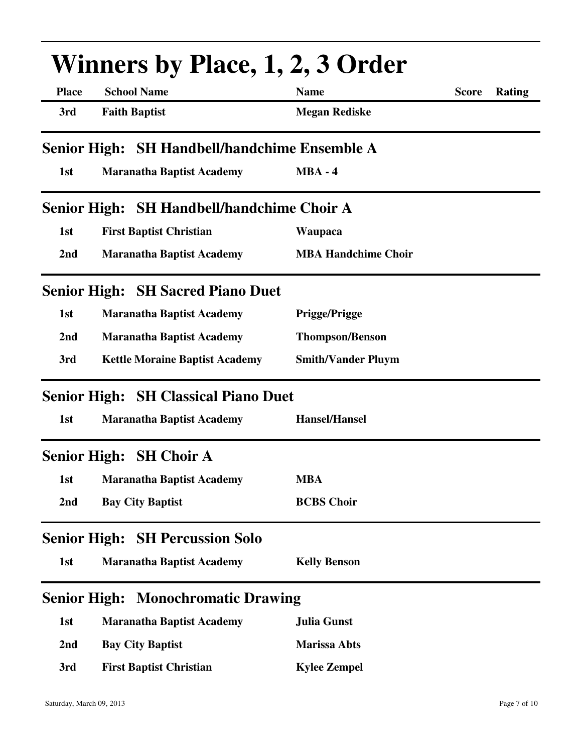|                     | <b>Winners by Place, 1, 2, 3 Order</b>        |                            |                        |  |  |
|---------------------|-----------------------------------------------|----------------------------|------------------------|--|--|
| <b>Place</b>        | <b>School Name</b>                            | <b>Name</b>                | <b>Score</b><br>Rating |  |  |
| 3rd                 | <b>Faith Baptist</b>                          | <b>Megan Rediske</b>       |                        |  |  |
|                     | Senior High: SH Handbell/handchime Ensemble A |                            |                        |  |  |
| 1st                 | <b>Maranatha Baptist Academy</b>              | $MBA - 4$                  |                        |  |  |
|                     | Senior High: SH Handbell/handchime Choir A    |                            |                        |  |  |
| 1st                 | <b>First Baptist Christian</b>                | <b>Waupaca</b>             |                        |  |  |
| 2 <sub>nd</sub>     | <b>Maranatha Baptist Academy</b>              | <b>MBA Handchime Choir</b> |                        |  |  |
|                     | <b>Senior High: SH Sacred Piano Duet</b>      |                            |                        |  |  |
| 1st                 | <b>Maranatha Baptist Academy</b>              | <b>Prigge/Prigge</b>       |                        |  |  |
| 2nd                 | <b>Maranatha Baptist Academy</b>              | <b>Thompson/Benson</b>     |                        |  |  |
| 3rd                 | <b>Kettle Moraine Baptist Academy</b>         | <b>Smith/Vander Pluym</b>  |                        |  |  |
|                     | <b>Senior High: SH Classical Piano Duet</b>   |                            |                        |  |  |
| 1st                 | <b>Maranatha Baptist Academy</b>              | <b>Hansel/Hansel</b>       |                        |  |  |
|                     | Senior High: SH Choir A                       |                            |                        |  |  |
| 1st                 | <b>Maranatha Baptist Academy</b>              | <b>MBA</b>                 |                        |  |  |
| 2 <sub>nd</sub>     | <b>Bay City Baptist</b>                       | <b>BCBS Choir</b>          |                        |  |  |
| <b>Senior High:</b> | <b>SH Percussion Solo</b>                     |                            |                        |  |  |
| 1st                 | <b>Maranatha Baptist Academy</b>              | <b>Kelly Benson</b>        |                        |  |  |
|                     | <b>Senior High: Monochromatic Drawing</b>     |                            |                        |  |  |
| 1st                 | <b>Maranatha Baptist Academy</b>              | <b>Julia Gunst</b>         |                        |  |  |
| 2nd                 | <b>Bay City Baptist</b>                       | <b>Marissa Abts</b>        |                        |  |  |
| 3rd                 | <b>First Baptist Christian</b>                | <b>Kylee Zempel</b>        |                        |  |  |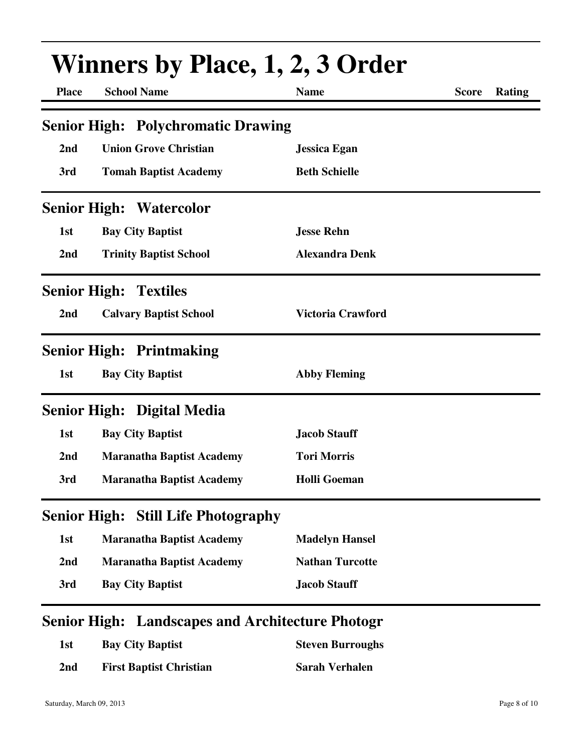| <b>Place</b> | <b>School Name</b>                         | <b>Name</b>              | <b>Score</b> | <b>Rating</b> |
|--------------|--------------------------------------------|--------------------------|--------------|---------------|
|              | <b>Senior High: Polychromatic Drawing</b>  |                          |              |               |
| 2nd          | <b>Union Grove Christian</b>               | <b>Jessica Egan</b>      |              |               |
| 3rd          | <b>Tomah Baptist Academy</b>               | <b>Beth Schielle</b>     |              |               |
|              | <b>Senior High: Watercolor</b>             |                          |              |               |
| 1st          | <b>Bay City Baptist</b>                    | <b>Jesse Rehn</b>        |              |               |
| 2nd          | <b>Trinity Baptist School</b>              | <b>Alexandra Denk</b>    |              |               |
|              | <b>Senior High: Textiles</b>               |                          |              |               |
| 2nd          | <b>Calvary Baptist School</b>              | <b>Victoria Crawford</b> |              |               |
|              | <b>Senior High: Printmaking</b>            |                          |              |               |
| 1st          | <b>Bay City Baptist</b>                    | <b>Abby Fleming</b>      |              |               |
|              | <b>Senior High: Digital Media</b>          |                          |              |               |
| 1st          | <b>Bay City Baptist</b>                    | <b>Jacob Stauff</b>      |              |               |
| 2nd          | <b>Maranatha Baptist Academy</b>           | <b>Tori Morris</b>       |              |               |
| 3rd          | <b>Maranatha Baptist Academy</b>           | <b>Holli Goeman</b>      |              |               |
|              | <b>Senior High: Still Life Photography</b> |                          |              |               |
| 1st          | <b>Maranatha Baptist Academy</b>           | <b>Madelyn Hansel</b>    |              |               |
| 2nd          | <b>Maranatha Baptist Academy</b>           | <b>Nathan Turcotte</b>   |              |               |
| 3rd          | <b>Bay City Baptist</b>                    | <b>Jacob Stauff</b>      |              |               |

| 1st | <b>Bay City Baptist</b>        | <b>Steven Burroughs</b> |
|-----|--------------------------------|-------------------------|
| 2nd | <b>First Baptist Christian</b> | <b>Sarah Verhalen</b>   |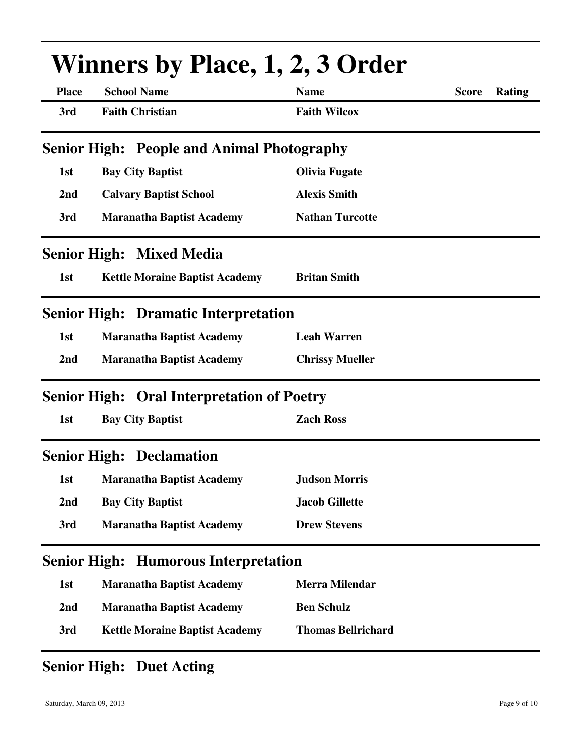|                     | <b>Winners by Place, 1, 2, 3 Order</b>            |                           |              |        |  |
|---------------------|---------------------------------------------------|---------------------------|--------------|--------|--|
| <b>Place</b>        | <b>School Name</b>                                | <b>Name</b>               | <b>Score</b> | Rating |  |
| 3rd                 | <b>Faith Christian</b>                            | <b>Faith Wilcox</b>       |              |        |  |
|                     | <b>Senior High: People and Animal Photography</b> |                           |              |        |  |
| 1st                 | <b>Bay City Baptist</b>                           | <b>Olivia Fugate</b>      |              |        |  |
| 2nd                 | <b>Calvary Baptist School</b>                     | <b>Alexis Smith</b>       |              |        |  |
| 3rd                 | <b>Maranatha Baptist Academy</b>                  | <b>Nathan Turcotte</b>    |              |        |  |
|                     | <b>Senior High: Mixed Media</b>                   |                           |              |        |  |
| 1st                 | <b>Kettle Moraine Baptist Academy</b>             | <b>Britan Smith</b>       |              |        |  |
|                     | <b>Senior High: Dramatic Interpretation</b>       |                           |              |        |  |
| 1st                 | <b>Maranatha Baptist Academy</b>                  | <b>Leah Warren</b>        |              |        |  |
| 2nd                 | <b>Maranatha Baptist Academy</b>                  | <b>Chrissy Mueller</b>    |              |        |  |
|                     | <b>Senior High: Oral Interpretation of Poetry</b> |                           |              |        |  |
| 1st                 | <b>Bay City Baptist</b>                           | <b>Zach Ross</b>          |              |        |  |
|                     | <b>Senior High: Declamation</b>                   |                           |              |        |  |
| 1st                 | <b>Maranatha Baptist Academy</b>                  | <b>Judson Morris</b>      |              |        |  |
| 2nd                 | <b>Bay City Baptist</b>                           | <b>Jacob Gillette</b>     |              |        |  |
| 3rd                 | <b>Maranatha Baptist Academy</b>                  | <b>Drew Stevens</b>       |              |        |  |
| <b>Senior High:</b> | <b>Humorous Interpretation</b>                    |                           |              |        |  |
| 1st                 | <b>Maranatha Baptist Academy</b>                  | <b>Merra Milendar</b>     |              |        |  |
| 2nd                 | <b>Maranatha Baptist Academy</b>                  | <b>Ben Schulz</b>         |              |        |  |
| 3rd                 | <b>Kettle Moraine Baptist Academy</b>             | <b>Thomas Bellrichard</b> |              |        |  |
|                     |                                                   |                           |              |        |  |

### **Senior High: Duet Acting**